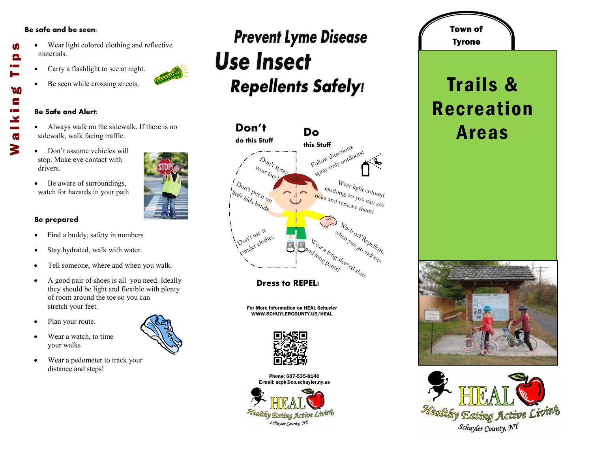### **Be safe and be seen:**

- Wear light colored clothing and reflective materials.
- Carry a flashlight to see at night.
- Be seen while crossing streets.

#### **Be Safe and Alert:**

- Always walk on the sidewalk. If there is no sidewalk, walk facing traffic.
- Don't assume vehicles will stop. Make eye contact with drivers.
- Be aware of surroundings, watch for hazards in your path

## **Be prepared**

- Find a buddy, safety in numbers
- Stay hydrated, walk with water.
- Tell someone, where and when you walk.
- A good pair of shoes is all you need. Ideally they should be light and flexible with plenty of room around the toe so you can stretch your feet.
- Plan your route.
- Wear a watch, to time your walks
- Wear a pedometer to track your distance and steps!

## **Prevent Lyme Disease Use Insect Repellents Safely!**



**Dress to REPEL!**

For More Information on HEAL Schuyler WWW.SCHUYLERCOUNTY.US/HEAL



Phone: 607-535-8140 E-mail: scph@co.schuyler.ny.us



# Tyrone Trails & Recreation Areas

Town of







M

Θ